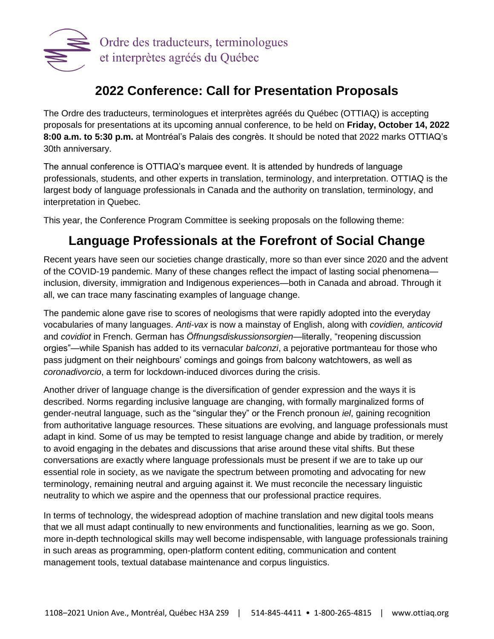

# **2022 Conference: Call for Presentation Proposals**

The Ordre des traducteurs, terminologues et interprètes agréés du Québec (OTTIAQ) is accepting proposals for presentations at its upcoming annual conference, to be held on **Friday, October 14, 2022 8:00 a.m. to 5:30 p.m.** at Montréal's Palais des congrès. It should be noted that 2022 marks OTTIAQ's 30th anniversary.

The annual conference is OTTIAQ's marquee event. It is attended by hundreds of language professionals, students, and other experts in translation, terminology, and interpretation. OTTIAQ is the largest body of language professionals in Canada and the authority on translation, terminology, and interpretation in Quebec.

This year, the Conference Program Committee is seeking proposals on the following theme:

# **Language Professionals at the Forefront of Social Change**

Recent years have seen our societies change drastically, more so than ever since 2020 and the advent of the COVID-19 pandemic. Many of these changes reflect the impact of lasting social phenomena inclusion, diversity, immigration and Indigenous experiences—both in Canada and abroad. Through it all, we can trace many fascinating examples of language change.

The pandemic alone gave rise to scores of neologisms that were rapidly adopted into the everyday vocabularies of many languages. *Anti-vax* is now a mainstay of English, along with *covidien, anticovid*  and *covidiot* in French. German has *Öffnungsdiskussionsorgien*—literally, "reopening discussion orgies"—while Spanish has added to its vernacular *balconzi*, a pejorative portmanteau for those who pass judgment on their neighbours' comings and goings from balcony watchtowers, as well as *coronadivorcio*, a term for lockdown-induced divorces during the crisis.

Another driver of language change is the diversification of gender expression and the ways it is described. Norms regarding inclusive language are changing, with formally marginalized forms of gender-neutral language, such as the "singular they" or the French pronoun *iel*, gaining recognition from authoritative language resources. These situations are evolving, and language professionals must adapt in kind. Some of us may be tempted to resist language change and abide by tradition, or merely to avoid engaging in the debates and discussions that arise around these vital shifts. But these conversations are exactly where language professionals must be present if we are to take up our essential role in society, as we navigate the spectrum between promoting and advocating for new terminology, remaining neutral and arguing against it. We must reconcile the necessary linguistic neutrality to which we aspire and the openness that our professional practice requires.

In terms of technology, the widespread adoption of machine translation and new digital tools means that we all must adapt continually to new environments and functionalities, learning as we go. Soon, more in-depth technological skills may well become indispensable, with language professionals training in such areas as programming, open-platform content editing, communication and content management tools, textual database maintenance and corpus linguistics.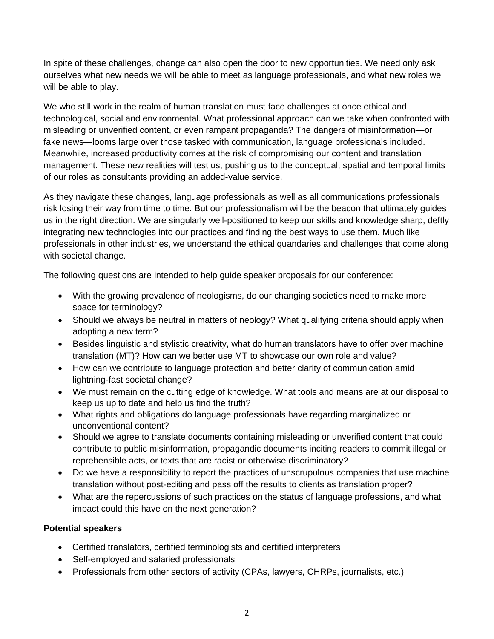In spite of these challenges, change can also open the door to new opportunities. We need only ask ourselves what new needs we will be able to meet as language professionals, and what new roles we will be able to play.

We who still work in the realm of human translation must face challenges at once ethical and technological, social and environmental. What professional approach can we take when confronted with misleading or unverified content, or even rampant propaganda? The dangers of misinformation—or fake news—looms large over those tasked with communication, language professionals included. Meanwhile, increased productivity comes at the risk of compromising our content and translation management. These new realities will test us, pushing us to the conceptual, spatial and temporal limits of our roles as consultants providing an added-value service.

As they navigate these changes, language professionals as well as all communications professionals risk losing their way from time to time. But our professionalism will be the beacon that ultimately guides us in the right direction. We are singularly well-positioned to keep our skills and knowledge sharp, deftly integrating new technologies into our practices and finding the best ways to use them. Much like professionals in other industries, we understand the ethical quandaries and challenges that come along with societal change.

The following questions are intended to help guide speaker proposals for our conference:

- With the growing prevalence of neologisms, do our changing societies need to make more space for terminology?
- Should we always be neutral in matters of neology? What qualifying criteria should apply when adopting a new term?
- Besides linguistic and stylistic creativity, what do human translators have to offer over machine translation (MT)? How can we better use MT to showcase our own role and value?
- How can we contribute to language protection and better clarity of communication amid lightning-fast societal change?
- We must remain on the cutting edge of knowledge. What tools and means are at our disposal to keep us up to date and help us find the truth?
- What rights and obligations do language professionals have regarding marginalized or unconventional content?
- Should we agree to translate documents containing misleading or unverified content that could contribute to public misinformation, propagandic documents inciting readers to commit illegal or reprehensible acts, or texts that are racist or otherwise discriminatory?
- Do we have a responsibility to report the practices of unscrupulous companies that use machine translation without post-editing and pass off the results to clients as translation proper?
- What are the repercussions of such practices on the status of language professions, and what impact could this have on the next generation?

# **Potential speakers**

- Certified translators, certified terminologists and certified interpreters
- Self-employed and salaried professionals
- Professionals from other sectors of activity (CPAs, lawyers, CHRPs, journalists, etc.)